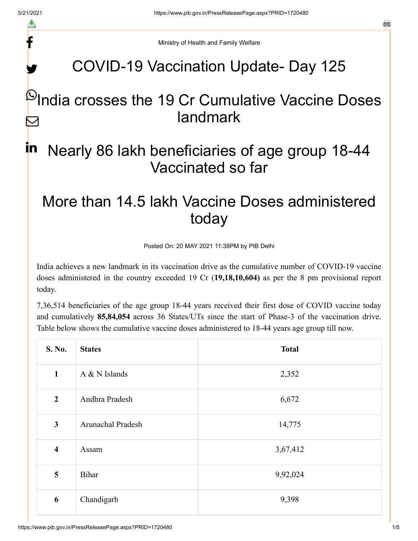f

y.

a

Ministry of Health and Family Welfare

## COVID-19 Vaccination Update- Day 125

## $\mathsf{\mathfrak{P}}$ India crosses the 19 Cr Cumulative Vaccine Doses landmark  $\triangleright$

### Nearly 86 lakh beneficiaries of age group 18-44 Vaccinated so far in

# More than 14.5 lakh Vaccine Doses administered today

Posted On: 20 MAY 2021 11:38PM by PIB Delhi

India achieves a new landmark in its vaccination drive as the cumulative number of COVID-19 vaccine doses administered in the country exceeded 19 Cr (**19,18,10,604)** as per the 8 pm provisional report today.

7,36,514 beneficiaries of the age group 18-44 years received their first dose of COVID vaccine today and cumulatively **85,84,054** across 36 States/UTs since the start of Phase-3 of the vaccination drive. Table below shows the cumulative vaccine doses administered to 18-44 years age group till now.

| S. No.                  | <b>States</b>     | <b>Total</b> |
|-------------------------|-------------------|--------------|
| $\mathbf{1}$            | A & N Islands     | 2,352        |
| $\boldsymbol{2}$        | Andhra Pradesh    | 6,672        |
| $\mathbf{3}$            | Arunachal Pradesh | 14,775       |
| $\overline{\mathbf{4}}$ | Assam             | 3,67,412     |
| 5                       | Bihar             | 9,92,024     |
| 6                       | Chandigarh        | 9,398        |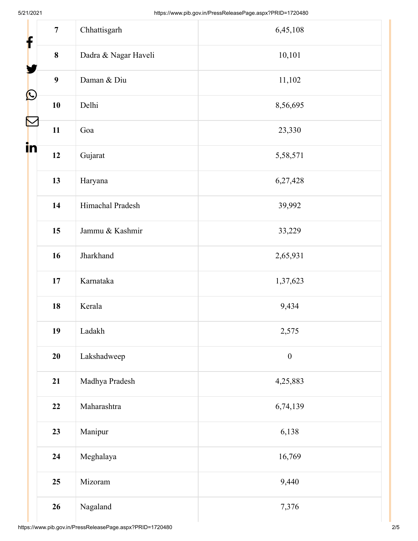| $\overline{7}$<br>f | Chhattisgarh         | 6,45,108         |
|---------------------|----------------------|------------------|
| $\bf{8}$            | Dadra & Nagar Haveli | 10,101           |
| $\boldsymbol{9}$    | Daman & Diu          | 11,102           |
| $\bigcirc$<br>10    | Delhi                | 8,56,695         |
| 11                  | Goa                  | 23,330           |
| in<br>12            | Gujarat              | 5,58,571         |
| 13                  | Haryana              | 6,27,428         |
| 14                  | Himachal Pradesh     | 39,992           |
| 15                  | Jammu & Kashmir      | 33,229           |
| 16                  | Jharkhand            | 2,65,931         |
| 17                  | Karnataka            | 1,37,623         |
| 18                  | Kerala               | 9,434            |
| 19                  | Ladakh               | 2,575            |
| 20                  | Lakshadweep          | $\boldsymbol{0}$ |
| 21                  | Madhya Pradesh       | 4,25,883         |
| 22                  | Maharashtra          | 6,74,139         |
| 23                  | Manipur              | 6,138            |
| 24                  | Meghalaya            | 16,769           |
| 25                  | Mizoram              | 9,440            |
| 26                  | Nagaland             | 7,376            |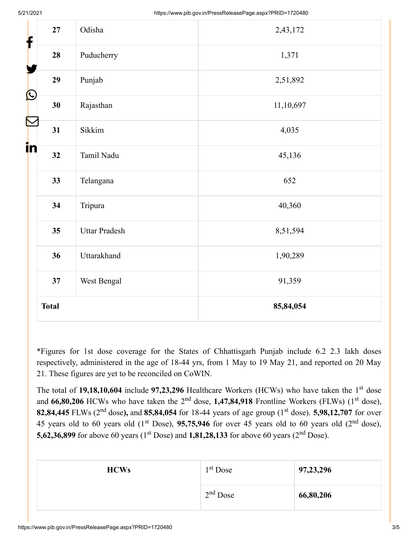| f                  | $\bf 27$     | Odisha               | 2,43,172  |
|--------------------|--------------|----------------------|-----------|
|                    | 28           | Puducherry           | 1,371     |
|                    | 29           | Punjab               | 2,51,892  |
| $\bigcirc$         | 30           | Rajasthan            | 11,10,697 |
| $\color{red} \sum$ | 31           | Sikkim               | 4,035     |
| in                 | 32           | Tamil Nadu           | 45,136    |
|                    | 33           | Telangana            | 652       |
|                    | 34           | Tripura              | 40,360    |
|                    | 35           | <b>Uttar Pradesh</b> | 8,51,594  |
|                    | 36           | Uttarakhand          | 1,90,289  |
|                    | 37           | West Bengal          | 91,359    |
|                    | <b>Total</b> |                      | 85,84,054 |

\*Figures for 1st dose coverage for the States of Chhattisgarh Punjab include 6.2 2.3 lakh doses respectively, administered in the age of 18-44 yrs, from 1 May to 19 May 21, and reported on 20 May 21. These figures are yet to be reconciled on CoWIN.

The total of 19,18,10,604 include 97,23,296 Healthcare Workers (HCWs) who have taken the 1<sup>st</sup> dose and 66,80,206 HCWs who have taken the 2<sup>nd</sup> dose, 1,47,84,918 Frontline Workers (FLWs) (1<sup>st</sup> dose), **82,84,445** FLWs (2<sup>nd</sup> dose), and **85,84,054** for 18-44 years of age group (1<sup>st</sup> dose). **5,98,12,707** for over 45 years old to 60 years old  $(1<sup>st</sup> Does), 95,75,946$  for over 45 years old to 60 years old  $(2<sup>nd</sup> dose),$ **5,62,36,899** for above 60 years (1<sup>st</sup> Dose) and **1,81,28,133** for above 60 years (2<sup>nd</sup> Dose).

| <b>HCWs</b> | 1 <sup>st</sup> Dose | 97, 23, 296 |
|-------------|----------------------|-------------|
|             | $2nd$ Dose           | 66,80,206   |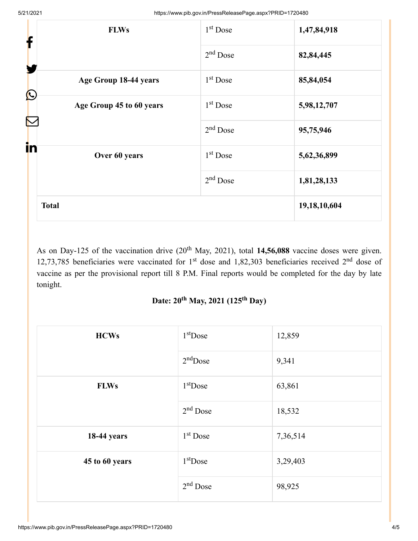| <b>FLWs</b><br>f                    | $1st$ Dose | 1,47,84,918     |
|-------------------------------------|------------|-----------------|
| Y                                   | $2nd$ Dose | 82,84,445       |
| Age Group 18-44 years<br>$\bigcirc$ | $1st$ Dose | 85,84,054       |
| Age Group 45 to 60 years            | $1st$ Dose | 5,98,12,707     |
|                                     | $2nd$ Dose | 95,75,946       |
| in<br>Over 60 years                 | $1st$ Dose | 5,62,36,899     |
|                                     | $2nd$ Dose | 1,81,28,133     |
| <b>Total</b>                        |            | 19, 18, 10, 604 |

As on Day-125 of the vaccination drive (20<sup>th</sup> May, 2021), total **14,56,088** vaccine doses were given. 12,73,785 beneficiaries were vaccinated for  $1<sup>st</sup>$  dose and 1,82,303 beneficiaries received  $2<sup>nd</sup>$  dose of vaccine as per the provisional report till 8 P.M. Final reports would be completed for the day by late tonight.

#### Date: 20<sup>th</sup> May, 2021 (125<sup>th</sup> Day)

| <b>HCWs</b>    | $1st$ Dose | 12,859   |
|----------------|------------|----------|
|                | $2nd$ Dose | 9,341    |
| <b>FLWs</b>    | $1st$ Dose | 63,861   |
|                | $2nd$ Dose | 18,532   |
| 18-44 years    | $1st$ Dose | 7,36,514 |
| 45 to 60 years | $1st$ Dose | 3,29,403 |
|                | $2nd$ Dose | 98,925   |